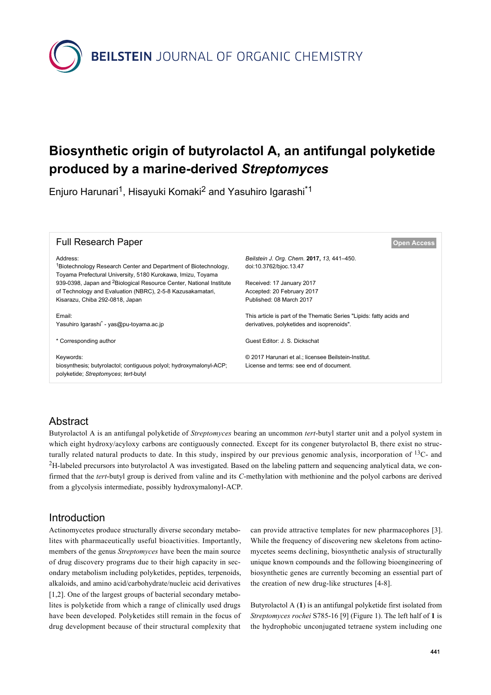**BEILSTEIN** JOURNAL OF ORGANIC CHEMISTRY

# **Biosynthetic origin of butyrolactol A, an antifungal polyketide produced by a marine-derived** *Streptomyces*

Enjuro Harunari<sup>1</sup>, Hisayuki Komaki<sup>2</sup> and Yasuhiro Igarashi<sup>\*1</sup>



## **Abstract**

Butyrolactol A is an antifungal polyketide of *Streptomyces* bearing an uncommon *tert*-butyl starter unit and a polyol system in which eight hydroxy/acyloxy carbons are contiguously connected. Except for its congener butyrolactol B, there exist no structurally related natural products to date. In this study, inspired by our previous genomic analysis, incorporation of  $^{13}$ C- and <sup>2</sup>H-labeled precursors into butyrolactol A was investigated. Based on the labeling pattern and sequencing analytical data, we confirmed that the *tert*-butyl group is derived from valine and its *C*-methylation with methionine and the polyol carbons are derived from a glycolysis intermediate, possibly hydroxymalonyl-ACP.

## Introduction

Actinomycetes produce structurally diverse secondary metabolites with pharmaceutically useful bioactivities. Importantly, members of the genus *Streptomyces* have been the main source of drug discovery programs due to their high capacity in secondary metabolism including polyketides, peptides, terpenoids, alkaloids, and amino acid/carbohydrate/nucleic acid derivatives [\[1,2\]](#page-8-0). One of the largest groups of bacterial secondary metabolites is polyketide from which a range of clinically used drugs have been developed. Polyketides still remain in the focus of drug development because of their structural complexity that can provide attractive templates for new pharmacophores [\[3\]](#page-8-1). While the frequency of discovering new skeletons from actinomycetes seems declining, biosynthetic analysis of structurally unique known compounds and the following bioengineering of biosynthetic genes are currently becoming an essential part of the creation of new drug-like structures [\[4-8\].](#page-8-2)

Butyrolactol A (**1**) is an antifungal polyketide first isolated from *Streptomyces rochei* S785-16 [\[9\]](#page-8-3) [\(Figure 1](#page-1-0)). The left half of **1** is the hydrophobic unconjugated tetraene system including one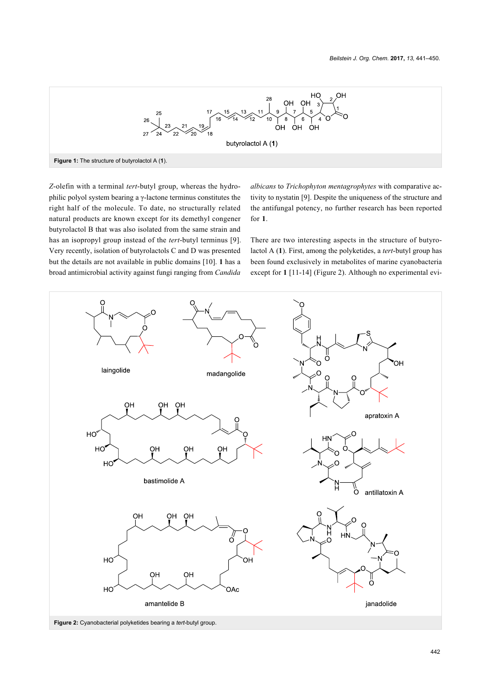<span id="page-1-0"></span>

*Z*-olefin with a terminal *tert*-butyl group, whereas the hydrophilic polyol system bearing a γ-lactone terminus constitutes the right half of the molecule. To date, no structurally related natural products are known except for its demethyl congener butyrolactol B that was also isolated from the same strain and has an isopropyl group instead of the *tert*-butyl terminus [\[9\]](#page-8-3). Very recently, isolation of butyrolactols C and D was presented but the details are not available in public domains [\[10\].](#page-8-4) **1** has a broad antimicrobial activity against fungi ranging from *Candida*

*albicans* to *Trichophyton mentagrophytes* with comparative activity to nystatin [\[9\].](#page-8-3) Despite the uniqueness of the structure and the antifungal potency, no further research has been reported for **1**.

There are two interesting aspects in the structure of butyrolactol A (**1**). First, among the polyketides, a *tert*-butyl group has been found exclusively in metabolites of marine cyanobacteria except for **1** [\[11-14\]](#page-8-5) [\(Figure 2](#page-1-1)). Although no experimental evi-

<span id="page-1-1"></span>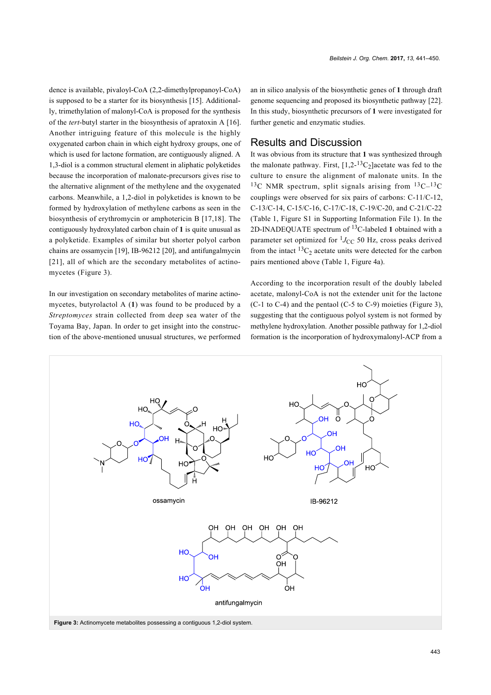dence is available, pivaloyl-CoA (2,2-dimethylpropanoyl-CoA) is supposed to be a starter for its biosynthesis [\[15\]](#page-8-6). Additionally, trimethylation of malonyl-CoA is proposed for the synthesis of the *tert*-butyl starter in the biosynthesis of apratoxin A [\[16\]](#page-8-7). Another intriguing feature of this molecule is the highly oxygenated carbon chain in which eight hydroxy groups, one of which is used for lactone formation, are contiguously aligned. A 1,3-diol is a common structural element in aliphatic polyketides because the incorporation of malonate-precursors gives rise to the alternative alignment of the methylene and the oxygenated carbons. Meanwhile, a 1,2-diol in polyketides is known to be formed by hydroxylation of methylene carbons as seen in the biosynthesis of erythromycin or amphotericin B [\[17,18\].](#page-8-8) The contiguously hydroxylated carbon chain of **1** is quite unusual as a polyketide. Examples of similar but shorter polyol carbon chains are ossamycin [\[19\],](#page-9-0) IB-96212 [\[20\],](#page-9-1) and antifungalmycin [\[21\]](#page-9-2), all of which are the secondary metabolites of actinomycetes ([Figure 3](#page-2-0)).

In our investigation on secondary metabolites of marine actinomycetes, butyrolactol A (**1**) was found to be produced by a *Streptomyces* strain collected from deep sea water of the Toyama Bay, Japan. In order to get insight into the construction of the above-mentioned unusual structures, we performed an in silico analysis of the biosynthetic genes of **1** through draft genome sequencing and proposed its biosynthetic pathway [\[22\]](#page-9-3). In this study, biosynthetic precursors of **1** were investigated for further genetic and enzymatic studies.

## Results and Discussion

It was obvious from its structure that **1** was synthesized through the malonate pathway. First,  $[1,2^{-13}C_2]$  acetate was fed to the culture to ensure the alignment of malonate units. In the <sup>13</sup>C NMR spectrum, split signals arising from  $^{13}C-^{13}C$ couplings were observed for six pairs of carbons: C-11/C-12, C-13/C-14, C-15/C-16, C-17/C-18, C-19/C-20, and C-21/C-22 ([Table 1](#page-3-0), Figure S1 in [Supporting Information File 1\)](#page-8-9). In the 2D-INADEQUATE spectrum of 13C-labeled **1** obtained with a parameter set optimized for  ${}^{1}J_{\text{CC}}$  50 Hz, cross peaks derived from the intact  ${}^{13}C_2$  acetate units were detected for the carbon pairs mentioned above [\(Table 1](#page-3-0), [Figure 4a](#page-4-0)).

According to the incorporation result of the doubly labeled acetate, malonyl-CoA is not the extender unit for the lactone (C-1 to C-4) and the pentaol (C-5 to C-9) moieties ([Figure 3](#page-2-0)), suggesting that the contiguous polyol system is not formed by methylene hydroxylation. Another possible pathway for 1,2-diol formation is the incorporation of hydroxymalonyl-ACP from a

<span id="page-2-0"></span>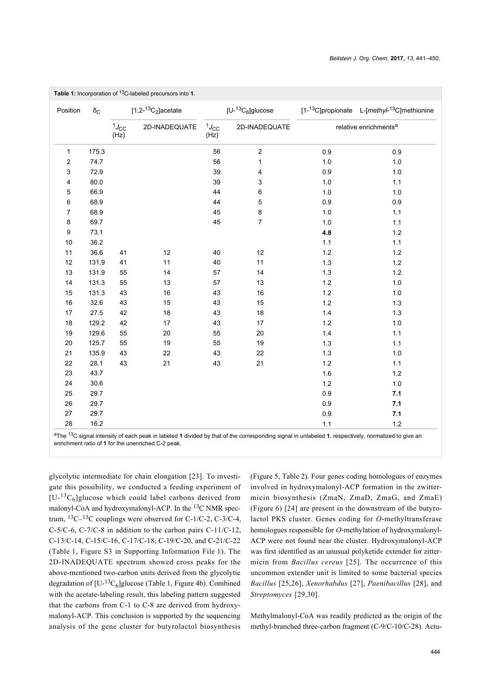| <b>Table 1:</b> Incorporation of <sup>13</sup> C-labeled precursors into 1. |                  |                                    |               |                        |                  |                                   |                                                                      |  |  |  |  |  |
|-----------------------------------------------------------------------------|------------------|------------------------------------|---------------|------------------------|------------------|-----------------------------------|----------------------------------------------------------------------|--|--|--|--|--|
| Position                                                                    | $\delta_{\rm C}$ | $[1,2^{-13}C_2]$ acetate           |               | $[U^{-13}C_6]$ glucose |                  |                                   | [1- <sup>13</sup> C]propionate L-[methyl- <sup>13</sup> C]methionine |  |  |  |  |  |
|                                                                             |                  | $\ensuremath{^1\!J_{\rm CC}}$ (Hz) | 2D-INADEQUATE |                        | 2D-INADEQUATE    | relative enrichments <sup>a</sup> |                                                                      |  |  |  |  |  |
| 1                                                                           | 175.3            |                                    |               | 56                     | $\mathbf 2$      | 0.9                               | 0.9                                                                  |  |  |  |  |  |
| $\overline{c}$                                                              | 74.7             |                                    |               | 56                     | $\mathbf{1}$     | $1.0$                             | 1.0                                                                  |  |  |  |  |  |
| 3                                                                           | 72.9             |                                    |               | 39                     | 4                | 0.9                               | 1.0                                                                  |  |  |  |  |  |
| 4                                                                           | 80.0             |                                    |               | 39                     | 3                | 1.0                               | $1.1$                                                                |  |  |  |  |  |
| 5                                                                           | 66.9             |                                    |               | 44                     | $\boldsymbol{6}$ | $1.0\,$                           | $1.0$                                                                |  |  |  |  |  |
| $\,6$                                                                       | 68.9             |                                    |               | 44                     | 5                | $0.9\,$                           | 0.9                                                                  |  |  |  |  |  |
| $\overline{7}$                                                              | 68.9             |                                    |               | 45                     | $\bf 8$          | 1.0                               | 1.1                                                                  |  |  |  |  |  |
| 8                                                                           | 69.7             |                                    |               | 45                     | $\boldsymbol{7}$ | 1.0                               | 1.1                                                                  |  |  |  |  |  |
| $\boldsymbol{9}$                                                            | 73.1             |                                    |               |                        |                  | 4.8                               | $1.2$                                                                |  |  |  |  |  |
| 10                                                                          | 36.2             |                                    |               |                        |                  | 1.1                               | $1.1$                                                                |  |  |  |  |  |
| 11                                                                          | 36.6             | 41                                 | 12            | 40                     | 12               | $1.2$                             | 1.2                                                                  |  |  |  |  |  |
| 12                                                                          | 131.9            | 41                                 | 11            | 40                     | 11               | 1.3                               | 1.2                                                                  |  |  |  |  |  |
| 13                                                                          | 131.9            | 55                                 | 14            | 57                     | 14               | $1.3$                             | $1.2$                                                                |  |  |  |  |  |
| 14                                                                          | 131.3            | 55                                 | 13            | 57                     | 13               | $1.2\,$                           | $1.0\,$                                                              |  |  |  |  |  |
| 15                                                                          | 131.3            | 43                                 | 16            | 43                     | 16               | $1.2\,$                           | 1.0                                                                  |  |  |  |  |  |
| $16\,$                                                                      | 32.6             | 43                                 | 15            | 43                     | 15               | $1.2$                             | 1.3                                                                  |  |  |  |  |  |
| $17$                                                                        | 27.5             | 42                                 | 18            | 43                     | 18               | 1.4                               | 1.3                                                                  |  |  |  |  |  |
| $18$                                                                        | 129.2            | 42                                 | 17            | 43                     | 17               | $1.2$                             | 1.0                                                                  |  |  |  |  |  |
| 19                                                                          | 129.6            | 55                                 | 20            | 55                     | 20               | 1.4                               | $1.1$                                                                |  |  |  |  |  |
| 20                                                                          | 125.7            | 55                                 | 19            | 55                     | 19               | $1.3$                             | $1.1$                                                                |  |  |  |  |  |
| 21                                                                          | 135.9            | 43                                 | 22            | 43                     | 22               | 1.3                               | 1.0                                                                  |  |  |  |  |  |
| 22                                                                          | 28.1             | 43                                 | 21            | 43                     | 21               | $1.2$                             | $1.1$                                                                |  |  |  |  |  |
| 23                                                                          | 43.7             |                                    |               |                        |                  | $1.6\,$                           | $1.2$                                                                |  |  |  |  |  |
| 24                                                                          | 30.6             |                                    |               |                        |                  | $1.2\,$                           | $1.0$                                                                |  |  |  |  |  |
| 25                                                                          | 29.7             |                                    |               |                        |                  | $0.9\,$                           | 7.1                                                                  |  |  |  |  |  |
| 26                                                                          | 29.7             |                                    |               |                        |                  | 0.9                               | 7.1                                                                  |  |  |  |  |  |
| 27                                                                          | 29.7             |                                    |               |                        |                  | 0.9                               | 7.1                                                                  |  |  |  |  |  |
| 28                                                                          | 16.2             |                                    |               |                        |                  | 1.1                               | $1.2$                                                                |  |  |  |  |  |

<span id="page-3-0"></span>**Table 1:** Incorporation of 13C-labeled precursors into **1**.

<sup>a</sup>The 13C signal intensity of each peak in labeled **1** divided by that of the corresponding signal in unlabeled **1**, respectively, normalized to give an enrichment ratio of **1** for the unenriched C-2 peak.

glycolytic intermediate for chain elongation [\[23\].](#page-9-4) To investigate this possibility, we conducted a feeding experiment of  $[U<sup>-13</sup>C<sub>6</sub>]$ glucose which could label carbons derived from malonyl-CoA and hydroxymalonyl-ACP. In the <sup>13</sup>C NMR spectrum,  ${}^{13}C-{}^{13}C$  couplings were observed for C-1/C-2, C-3/C-4, C-5/C-6, C-7/C-8 in addition to the carbon pairs C-11/C-12, C-13/C-14, C-15/C-16, C-17/C-18, C-19/C-20, and C-21/C-22 ([Table 1,](#page-3-0) Figure S3 in [Supporting Information File 1\)](#page-8-9). The 2D-INADEQUATE spectrum showed cross peaks for the above-mentioned two-carbon units derived from the glycolytic degradation of  $[U^{-13}C_6]$ glucose ([Table 1,](#page-3-0) [Figure 4b](#page-4-0)). Combined with the acetate-labeling result, this labeling pattern suggested that the carbons from C-1 to C-8 are derived from hydroxymalonyl-ACP. This conclusion is supported by the sequencing analysis of the gene cluster for butyrolactol biosynthesis

([Figure 5](#page-4-1), [Table 2](#page-5-0)). Four genes coding homologues of enzymes involved in hydroxymalonyl-ACP formation in the zwittermicin biosynthesis (ZmaN, ZmaD, ZmaG, and ZmaE) ([Figure 6](#page-6-0)) [\[24\]](#page-9-5) are present in the downstream of the butyrolactol PKS cluster. Genes coding for *O*-methyltransferase homologues responsible for *O*-methylation of hydroxymalonyl-ACP were not found near the cluster. Hydroxymalonyl-ACP was first identified as an unusual polyketide extender for zittermicin from *Bacillus cereus* [\[25\]](#page-9-6). The occurrence of this uncommon extender unit is limited to some bacterial species *Bacillus* [\[25,26\]](#page-9-6), *Xenorhabdus* [\[27\]](#page-9-7), *Paenibacillus* [\[28\]](#page-9-8), and *Streptomyces* [\[29,30\].](#page-9-9)

Methylmalonyl-CoA was readily predicted as the origin of the methyl-branched three-carbon fragment (C-9/C-10/C-28). Actu-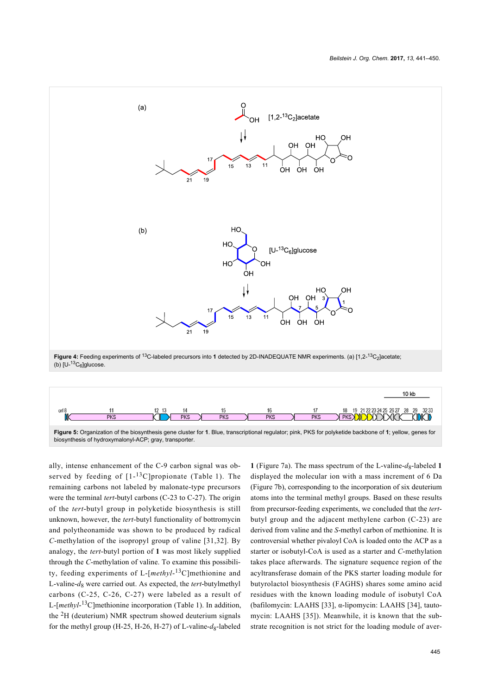<span id="page-4-0"></span>

<span id="page-4-1"></span>

ally, intense enhancement of the C-9 carbon signal was observed by feeding of  $[1-13C]$ propionate ([Table 1](#page-3-0)). The remaining carbons not labeled by malonate-type precursors were the terminal *tert*-butyl carbons (C-23 to C-27). The origin of the *tert*-butyl group in polyketide biosynthesis is still unknown, however, the *tert*-butyl functionality of bottromycin and polytheonamide was shown to be produced by radical *C*-methylation of the isopropyl group of valine [\[31,32\].](#page-9-10) By analogy, the *tert*-butyl portion of **1** was most likely supplied through the *C*-methylation of valine. To examine this possibility, feeding experiments of L-[*methyl*-<sup>13</sup>C]methionine and L-valine-*d*<sup>8</sup> were carried out. As expected, the *tert*-butylmethyl carbons (C-25, C-26, C-27) were labeled as a result of L-[*methyl*-<sup>13</sup>C]methionine incorporation [\(Table 1\)](#page-3-0). In addition, the  ${}^{2}H$  (deuterium) NMR spectrum showed deuterium signals for the methyl group (H-25, H-26, H-27) of L-valine- $d_8$ -labeled

**1** ([Figure 7a](#page-6-1)). The mass spectrum of the L-valine- $d_8$ -labeled **1** displayed the molecular ion with a mass increment of 6 Da ([Figure 7b](#page-6-1)), corresponding to the incorporation of six deuterium atoms into the terminal methyl groups. Based on these results from precursor-feeding experiments, we concluded that the *tert*butyl group and the adjacent methylene carbon (C-23) are derived from valine and the *S*-methyl carbon of methionine. It is controversial whether pivaloyl CoA is loaded onto the ACP as a starter or isobutyl-CoA is used as a starter and *C*-methylation takes place afterwards. The signature sequence region of the acyltransferase domain of the PKS starter loading module for butyrolactol biosynthesis (FAGHS) shares some amino acid residues with the known loading module of isobutyl CoA (bafilomycin: LAAHS [\[33\]](#page-9-11), α-lipomycin: LAAHS [\[34\]](#page-9-12), tautomycin: LAAHS [\[35\]](#page-9-13)). Meanwhile, it is known that the substrate recognition is not strict for the loading module of aver-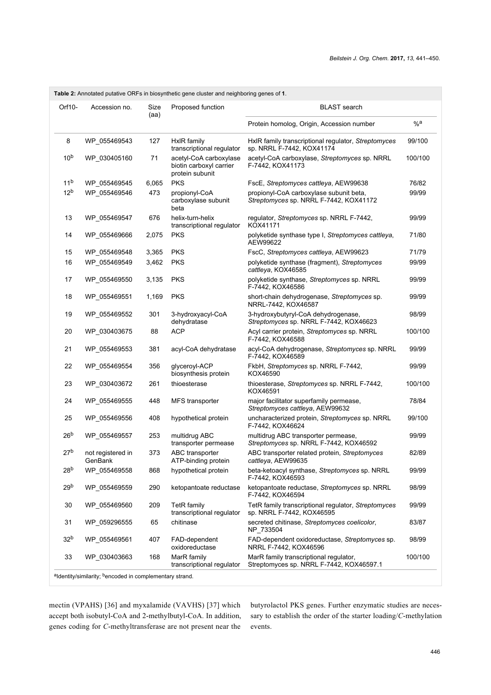<span id="page-5-0"></span>

| Table 2: Annotated putative ORFs in biosynthetic gene cluster and neighboring genes of 1. |                              |              |                                                                      |                                                                                    |         |  |  |  |  |  |
|-------------------------------------------------------------------------------------------|------------------------------|--------------|----------------------------------------------------------------------|------------------------------------------------------------------------------------|---------|--|--|--|--|--|
| Orf10-                                                                                    | Accession no.                | Size<br>(aa) | Proposed function                                                    | <b>BLAST</b> search                                                                |         |  |  |  |  |  |
|                                                                                           |                              |              |                                                                      | Protein homolog, Origin, Accession number                                          | %a      |  |  |  |  |  |
| 8                                                                                         | WP 055469543                 | 127          | HxIR family<br>transcriptional regulator                             | HxIR family transcriptional regulator, Streptomyces<br>sp. NRRL F-7442, KOX41174   | 99/100  |  |  |  |  |  |
| 10 <sup>b</sup>                                                                           | WP_030405160                 | 71           | acetyl-CoA carboxylase<br>biotin carboxyl carrier<br>protein subunit | acetyl-CoA carboxylase, Streptomyces sp. NRRL<br>F-7442, KOX41173                  | 100/100 |  |  |  |  |  |
| 11 <sup>b</sup>                                                                           | WP 055469545                 | 6,065        | <b>PKS</b>                                                           | FscE, Streptomyces cattleya, AEW99638                                              | 76/82   |  |  |  |  |  |
| 12 <sup>b</sup>                                                                           | WP_055469546                 | 473          | propionyl-CoA<br>carboxylase subunit<br>beta                         | propionyl-CoA carboxylase subunit beta,<br>Streptomyces sp. NRRL F-7442, KOX41172  | 99/99   |  |  |  |  |  |
| 13                                                                                        | WP 055469547                 | 676          | helix-turn-helix<br>transcriptional regulator                        | regulator, Streptomyces sp. NRRL F-7442,<br>KOX41171                               | 99/99   |  |  |  |  |  |
| 14                                                                                        | WP 055469666                 | 2,075        | <b>PKS</b>                                                           | polyketide synthase type I, Streptomyces cattleya,<br>AEW99622                     | 71/80   |  |  |  |  |  |
| 15                                                                                        | WP_055469548                 | 3,365        | <b>PKS</b>                                                           | FscC, Streptomyces cattleya, AEW99623                                              | 71/79   |  |  |  |  |  |
| 16                                                                                        | WP_055469549                 | 3,462        | <b>PKS</b>                                                           | polyketide synthase (fragment), Streptomyces<br>cattleya, KOX46585                 | 99/99   |  |  |  |  |  |
| 17                                                                                        | WP 055469550                 | 3,135        | <b>PKS</b>                                                           | polyketide synthase, Streptomyces sp. NRRL<br>F-7442, KOX46586                     | 99/99   |  |  |  |  |  |
| 18                                                                                        | WP 055469551                 | 1,169        | <b>PKS</b>                                                           | short-chain dehydrogenase, Streptomyces sp.<br>NRRL-7442, KOX46587                 | 99/99   |  |  |  |  |  |
| 19                                                                                        | WP 055469552                 | 301          | 3-hydroxyacyl-CoA<br>dehydratase                                     | 3-hydroxybutyryl-CoA dehydrogenase,<br>Streptomyces sp. NRRL F-7442, KOX46623      | 98/99   |  |  |  |  |  |
| 20                                                                                        | WP_030403675                 | 88           | <b>ACP</b>                                                           | Acyl carrier protein, Streptomyces sp. NRRL<br>F-7442, KOX46588                    | 100/100 |  |  |  |  |  |
| 21                                                                                        | WP 055469553                 | 381          | acyl-CoA dehydratase                                                 | acyl-CoA dehydrogenase, Streptomyces sp. NRRL<br>F-7442, KOX46589                  | 99/99   |  |  |  |  |  |
| 22                                                                                        | WP 055469554                 | 356          | glyceroyl-ACP<br>biosynthesis protein                                | FkbH, Streptomyces sp. NRRL F-7442,<br>KOX46590                                    | 99/99   |  |  |  |  |  |
| 23                                                                                        | WP 030403672                 | 261          | thioesterase                                                         | thioesterase, Streptomyces sp. NRRL F-7442,<br>KOX46591                            | 100/100 |  |  |  |  |  |
| 24                                                                                        | WP 055469555                 | 448          | MFS transporter                                                      | major facilitator superfamily permease,<br>Streptomyces cattleya, AEW99632         | 78/84   |  |  |  |  |  |
| 25                                                                                        | WP 055469556                 | 408          | hypothetical protein                                                 | uncharacterized protein, Streptomyces sp. NRRL<br>F-7442, KOX46624                 | 99/100  |  |  |  |  |  |
| 26 <sup>b</sup>                                                                           | WP 055469557                 | 253          | multidrug ABC<br>transporter permease                                | multidrug ABC transporter permease,<br>Streptomyces sp. NRRL F-7442, KOX46592      | 99/99   |  |  |  |  |  |
| 27 <sup>b</sup>                                                                           | not registered in<br>GenBank | 373          | ABC transporter<br>ATP-binding protein                               | ABC transporter related protein, Streptomyces<br>cattleya, AEW99635                | 82/89   |  |  |  |  |  |
| 28 <sup>b</sup>                                                                           | WP_055469558                 | 868          | hypothetical protein                                                 | beta-ketoacyl synthase, Streptomyces sp. NRRL<br>F-7442, KOX46593                  | 99/99   |  |  |  |  |  |
| 29 <sup>b</sup>                                                                           | WP 055469559                 | 290          | ketopantoate reductase                                               | ketopantoate reductase, Streptomyces sp. NRRL<br>F-7442, KOX46594                  | 98/99   |  |  |  |  |  |
| 30                                                                                        | WP_055469560                 | 209          | TetR family<br>transcriptional regulator                             | TetR family transcriptional regulator, Streptomyces<br>sp. NRRL F-7442, KOX46595   | 99/99   |  |  |  |  |  |
| 31                                                                                        | WP_059296555                 | 65           | chitinase                                                            | secreted chitinase, Streptomyces coelicolor,<br>NP_733504                          | 83/87   |  |  |  |  |  |
| 32 <sup>b</sup>                                                                           | WP 055469561                 | 407          | FAD-dependent<br>oxidoreductase                                      | FAD-dependent oxidoreductase, Streptomyces sp.<br>NRRL F-7442, KOX46596            | 98/99   |  |  |  |  |  |
| 33                                                                                        | WP 030403663                 | 168          | MarR family<br>transcriptional regulator                             | MarR family transcriptional regulator,<br>Streptomyces sp. NRRL F-7442, KOX46597.1 | 100/100 |  |  |  |  |  |
|                                                                                           |                              |              |                                                                      |                                                                                    |         |  |  |  |  |  |

<sup>a</sup>ldentity/similarity; <sup>b</sup>encoded in complementary strand.

mectin (VPAHS) [\[36\]](#page-9-14) and myxalamide (VAVHS) [\[37\]](#page-9-15) which accept both isobutyl-CoA and 2-methylbutyl-CoA. In addition, genes coding for *C*-methyltransferase are not present near the

butyrolactol PKS genes. Further enzymatic studies are necessary to establish the order of the starter loading/*C*-methylation events.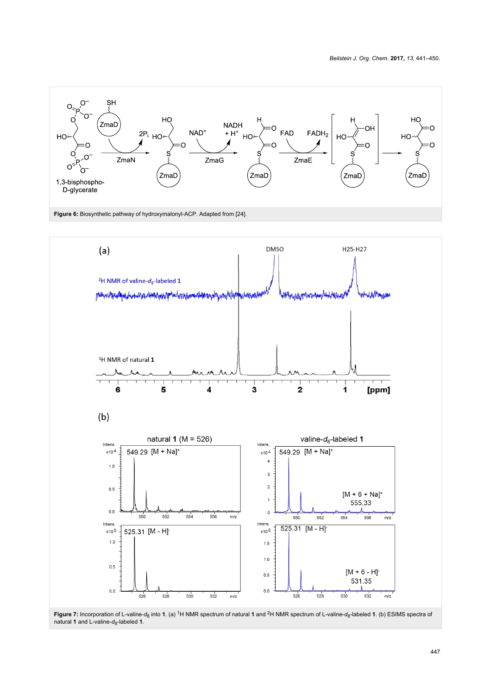<span id="page-6-0"></span>

<span id="page-6-1"></span>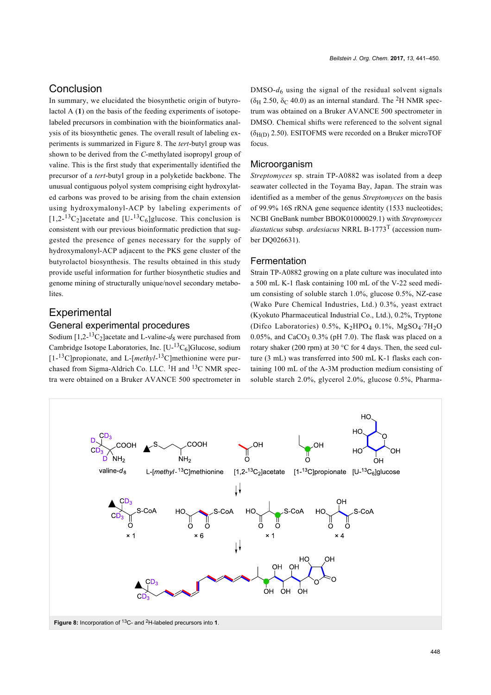## Conclusion

In summary, we elucidated the biosynthetic origin of butyrolactol A (**1**) on the basis of the feeding experiments of isotopelabeled precursors in combination with the bioinformatics analysis of its biosynthetic genes. The overall result of labeling experiments is summarized in [Figure 8](#page-7-0). The *tert*-butyl group was shown to be derived from the *C*-methylated isopropyl group of valine. This is the first study that experimentally identified the precursor of a *tert*-butyl group in a polyketide backbone. The unusual contiguous polyol system comprising eight hydroxylated carbons was proved to be arising from the chain extension using hydroxymalonyl-ACP by labeling experiments of  $[1,2^{-13}C_2]$ acetate and  $[U^{-13}C_6]$ glucose. This conclusion is consistent with our previous bioinformatic prediction that suggested the presence of genes necessary for the supply of hydroxymalonyl-ACP adjacent to the PKS gene cluster of the butyrolactol biosynthesis. The results obtained in this study provide useful information for further biosynthetic studies and genome mining of structurally unique/novel secondary metabolites.

# **Experimental**

## General experimental procedures

Sodium  $[1,2^{-13}C_2]$ acetate and L-valine- $d_8$  were purchased from Cambridge Isotope Laboratories, Inc.  $[U^{-13}C_6]$ Glucose, sodium [1-<sup>13</sup>C]propionate, and L-[*methyl*-<sup>13</sup>C]methionine were purchased from Sigma-Aldrich Co. LLC. <sup>1</sup>H and <sup>13</sup>C NMR spectra were obtained on a Bruker AVANCE 500 spectrometer in  $DMSO-d<sub>6</sub>$  using the signal of the residual solvent signals  $(\delta_H 2.50, \delta_C 40.0)$  as an internal standard. The <sup>2</sup>H NMR spectrum was obtained on a Bruker AVANCE 500 spectrometer in DMSO. Chemical shifts were referenced to the solvent signal  $(\delta_{H(D)} 2.50)$ . ESITOFMS were recorded on a Bruker microTOF focus.

#### **Microorganism**

*Streptomyces* sp. strain TP-A0882 was isolated from a deep seawater collected in the Toyama Bay, Japan. The strain was identified as a member of the genus *Streptomyces* on the basis of 99.9% 16S rRNA gene sequence identity (1533 nucleotides; NCBI GneBank number BBOK01000029.1) with *Streptomyces diastaticus* subsp*. ardesiacus* NRRL B-1773T (accession number DQ026631).

#### Fermentation

Strain TP-A0882 growing on a plate culture was inoculated into a 500 mL K-1 flask containing 100 mL of the V-22 seed medium consisting of soluble starch 1.0%, glucose 0.5%, NZ-case (Wako Pure Chemical Industries, Ltd.) 0.3%, yeast extract (Kyokuto Pharmaceutical Industrial Co., Ltd.), 0.2%, Tryptone (Difco Laboratories)  $0.5\%$ , K<sub>2</sub>HPO<sub>4</sub> 0.1%, MgSO<sub>4</sub>.7H<sub>2</sub>O  $0.05\%$ , and CaCO<sub>3</sub>  $0.3\%$  (pH 7.0). The flask was placed on a rotary shaker (200 rpm) at 30 °C for 4 days. Then, the seed culture (3 mL) was transferred into 500 mL K-1 flasks each containing 100 mL of the A-3M production medium consisting of soluble starch 2.0%, glycerol 2.0%, glucose 0.5%, Pharma-

<span id="page-7-0"></span>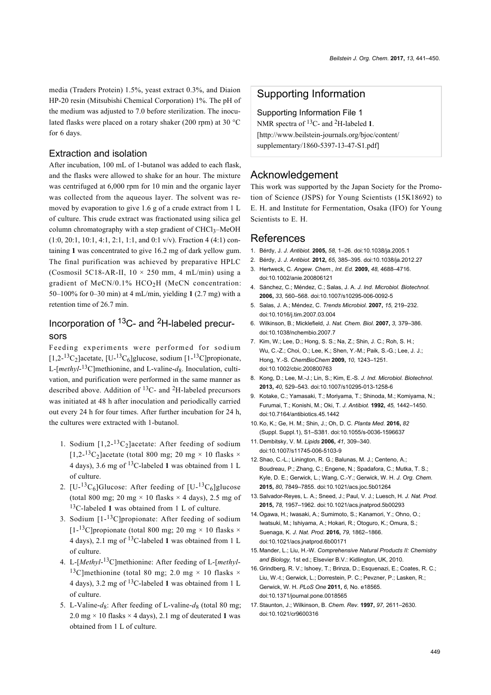media (Traders Protein) 1.5%, yeast extract 0.3%, and Diaion HP-20 resin (Mitsubishi Chemical Corporation) 1%. The pH of the medium was adjusted to 7.0 before sterilization. The inoculated flasks were placed on a rotary shaker (200 rpm) at 30 °C for 6 days.

#### Extraction and isolation

After incubation, 100 mL of 1-butanol was added to each flask, and the flasks were allowed to shake for an hour. The mixture was centrifuged at 6,000 rpm for 10 min and the organic layer was collected from the aqueous layer. The solvent was removed by evaporation to give 1.6 g of a crude extract from 1 L of culture. This crude extract was fractionated using silica gel column chromatography with a step gradient of CHCl<sub>3</sub>-MeOH  $(1:0, 20:1, 10:1, 4:1, 2:1, 1:1, and 0:1 v/v)$ . Fraction 4 (4:1) containing **1** was concentrated to give 16.2 mg of dark yellow gum. The final purification was achieved by preparative HPLC (Cosmosil 5C18-AR-II,  $10 \times 250$  mm, 4 mL/min) using a gradient of MeCN/0.1%  $HCO<sub>2</sub>H$  (MeCN concentration: 50–100% for 0–30 min) at 4 mL/min, yielding **1** (2.7 mg) with a retention time of 26.7 min.

## Incorporation of 13C- and 2H-labeled precursors

Feeding experiments were performed for sodium  $[1,2^{-13}C_2]$ acetate,  $[U^{-13}C_6]$ glucose, sodium  $[1^{-13}C]$ propionate, L-[*methyl*-<sup>13</sup>C]methionine, and L-valine- $d_8$ . Inoculation, cultivation, and purification were performed in the same manner as described above. Addition of  ${}^{13}C$ - and  ${}^{2}H$ -labeled precursors was initiated at 48 h after inoculation and periodically carried out every 24 h for four times. After further incubation for 24 h, the cultures were extracted with 1-butanol.

- 1. Sodium  $[1,2^{-13}C_2]$ acetate: After feeding of sodium  $[1,2^{-13}C_2]$ acetate (total 800 mg; 20 mg × 10 flasks × 4 days), 3.6 mg of 13C-labeled **1** was obtained from 1 L of culture.
- 2. [U-<sup>13</sup>C<sub>6</sub>]Glucose: After feeding of [U-<sup>13</sup>C<sub>6</sub>]glucose (total 800 mg; 20 mg  $\times$  10 flasks  $\times$  4 days), 2.5 mg of <sup>13</sup>C-labeled **1** was obtained from 1 L of culture.
- 3. Sodium  $[1 13C]$ propionate: After feeding of sodium  $[1 - {^{13}C}$ lpropionate (total 800 mg; 20 mg × 10 flasks × 4 days), 2.1 mg of 13C-labeled **1** was obtained from 1 L of culture.
- 4. L-[*Methyl*-<sup>13</sup>C]methionine: After feeding of L-[*methyl*-<sup>13</sup>C]methionine (total 80 mg; 2.0 mg  $\times$  10 flasks  $\times$ 4 days), 3.2 mg of 13C-labeled **1** was obtained from 1 L of culture.
- 5. L-Valine- $d_8$ : After feeding of L-valine- $d_8$  (total 80 mg; 2.0 mg  $\times$  10 flasks  $\times$  4 days), 2.1 mg of deuterated 1 was obtained from 1 L of culture.

#### Supporting Information

<span id="page-8-9"></span>Supporting Information File 1 NMR spectra of 13C- and 2H-labeled **1**. [\[http://www.beilstein-journals.org/bjoc/content/](http://www.beilstein-journals.org/bjoc/content/supplementary/1860-5397-13-47-S1.pdf) [supplementary/1860-5397-13-47-S1.pdf\]](http://www.beilstein-journals.org/bjoc/content/supplementary/1860-5397-13-47-S1.pdf)

### Acknowledgement

This work was supported by the Japan Society for the Promotion of Science (JSPS) for Young Scientists (15K18692) to E. H. and Institute for Fermentation, Osaka (IFO) for Young Scientists to E. H.

## References

- <span id="page-8-0"></span>1. Bérdy, J. *J. Antibiot.* **2005,** *58,* 1–26. [doi:10.1038/ja.2005.1](https://doi.org/10.1038%2Fja.2005.1)
- 2. Bérdy, J. *J. Antibiot.* **2012,** *65,* 385–395. [doi:10.1038/ja.2012.27](https://doi.org/10.1038%2Fja.2012.27)
- <span id="page-8-1"></span>3. Hertweck, C. *Angew. Chem., Int. Ed.* **2009,** *48,* 4688–4716. [doi:10.1002/anie.200806121](https://doi.org/10.1002%2Fanie.200806121)
- <span id="page-8-2"></span>4. Sánchez, C.; Méndez, C.; Salas, J. A. *J. Ind. Microbiol. Biotechnol.* **2006,** *33,* 560–568. [doi:10.1007/s10295-006-0092-5](https://doi.org/10.1007%2Fs10295-006-0092-5)
- 5. Salas, J. A.; Méndez, C. *Trends Microbiol.* **2007,** *15,* 219–232. [doi:10.1016/j.tim.2007.03.004](https://doi.org/10.1016%2Fj.tim.2007.03.004)
- 6. Wilkinson, B.; Micklefield, J. *Nat. Chem. Biol.* **2007,** *3,* 379–386. [doi:10.1038/nchembio.2007.7](https://doi.org/10.1038%2Fnchembio.2007.7)
- 7. Kim, W.; Lee, D.; Hong, S. S.; Na, Z.; Shin, J. C.; Roh, S. H.; Wu, C.-Z.; Choi, O.; Lee, K.; Shen, Y.-M.; Paik, S.-G.; Lee, J. J.; Hong, Y.-S. *ChemBioChem* **2009,** *10,* 1243–1251. [doi:10.1002/cbic.200800763](https://doi.org/10.1002%2Fcbic.200800763)
- 8. Kong, D.; Lee, M.-J.; Lin, S.; Kim, E.-S. *J. Ind. Microbiol. Biotechnol.* **2013,** *40,* 529–543. [doi:10.1007/s10295-013-1258-6](https://doi.org/10.1007%2Fs10295-013-1258-6)
- <span id="page-8-3"></span>9. Kotake, C.; Yamasaki, T.; Moriyama, T.; Shinoda, M.; Komiyama, N.; Furumai, T.; Konishi, M.; Oki, T. *J. Antibiot.* **1992,** *45,* 1442–1450. [doi:10.7164/antibiotics.45.1442](https://doi.org/10.7164%2Fantibiotics.45.1442)
- <span id="page-8-4"></span>10.Ko, K.; Ge, H. M.; Shin, J.; Oh, D. C. *Planta Med.* **2016,** *82* (Suppl. Suppl.1), S1–S381. [doi:10.1055/s-0036-1596637](https://doi.org/10.1055%2Fs-0036-1596637)
- <span id="page-8-5"></span>11. Dembitsky, V. M. *Lipids* **2006,** *41,* 309–340. [doi:10.1007/s11745-006-5103-9](https://doi.org/10.1007%2Fs11745-006-5103-9)
- 12.Shao, C.-L.; Linington, R. G.; Balunas, M. J.; Centeno, A.; Boudreau, P.; Zhang, C.; Engene, N.; Spadafora, C.; Mutka, T. S.; Kyle, D. E.; Gerwick, L.; Wang, C.-Y.; Gerwick, W. H. *J. Org. Chem.* **2015,** *80,* 7849–7855. [doi:10.1021/acs.joc.5b01264](https://doi.org/10.1021%2Facs.joc.5b01264)
- 13.Salvador-Reyes, L. A.; Sneed, J.; Paul, V. J.; Luesch, H. *J. Nat. Prod.* **2015,** *78,* 1957–1962. [doi:10.1021/acs.jnatprod.5b00293](https://doi.org/10.1021%2Facs.jnatprod.5b00293)
- 14.Ogawa, H.; Iwasaki, A.; Sumimoto, S.; Kanamori, Y.; Ohno, O.; Iwatsuki, M.; Ishiyama, A.; Hokari, R.; Otoguro, K.; Omura, S.; Suenaga, K. *J. Nat. Prod.* **2016,** *79,* 1862–1866. [doi:10.1021/acs.jnatprod.6b00171](https://doi.org/10.1021%2Facs.jnatprod.6b00171)
- <span id="page-8-6"></span>15. Mander, L.; Liu, H.-W. *Comprehensive Natural Products II: Chemistry and Biology,* 1st ed.; Elsevier B.V.: Kidlington, UK, 2010.
- <span id="page-8-7"></span>16.Grindberg, R. V.; Ishoey, T.; Brinza, D.; Esquenazi, E.; Coates, R. C.; Liu, W.-t.; Gerwick, L.; Dorrestein, P. C.; Pevzner, P.; Lasken, R.; Gerwick, W. H. *PLoS One* **2011,** *6,* No. e18565. [doi:10.1371/journal.pone.0018565](https://doi.org/10.1371%2Fjournal.pone.0018565)
- <span id="page-8-8"></span>17.Staunton, J.; Wilkinson, B. *Chem. Rev.* **1997,** *97,* 2611–2630. [doi:10.1021/cr9600316](https://doi.org/10.1021%2Fcr9600316)